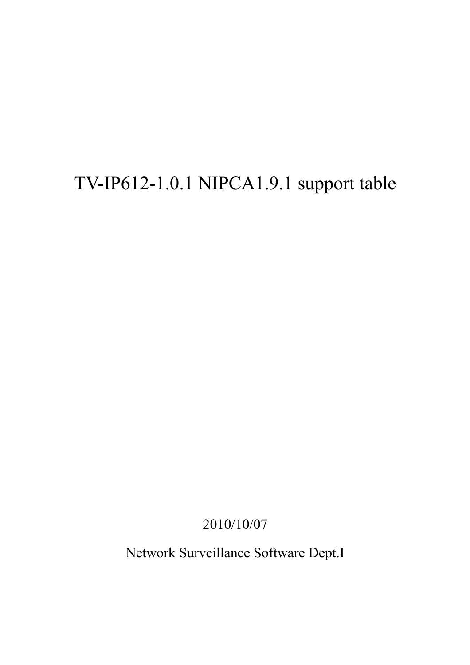## TV-IP612-1.0.1 NIPCA1.9.1 support table

2010/10/07

Network Surveillance Software Dept.I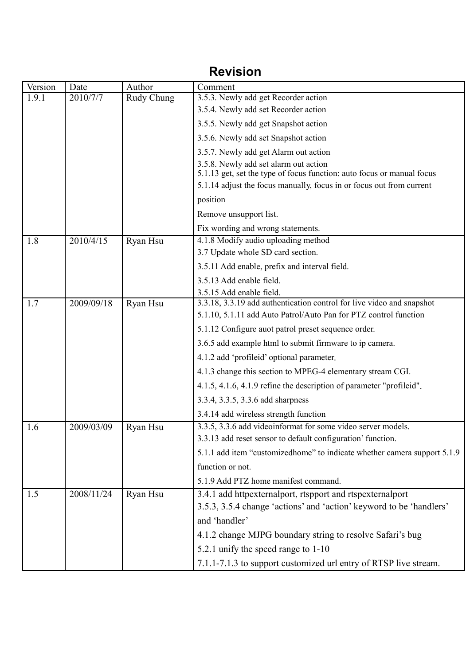## **Revision**

| Version | Date       | Author     | Comment                                                                                                                                        |  |  |
|---------|------------|------------|------------------------------------------------------------------------------------------------------------------------------------------------|--|--|
| 1.9.1   | 2010/7/7   | Rudy Chung | 3.5.3. Newly add get Recorder action                                                                                                           |  |  |
|         |            |            | 3.5.4. Newly add set Recorder action                                                                                                           |  |  |
|         |            |            | 3.5.5. Newly add get Snapshot action                                                                                                           |  |  |
|         |            |            | 3.5.6. Newly add set Snapshot action                                                                                                           |  |  |
|         |            |            | 3.5.7. Newly add get Alarm out action                                                                                                          |  |  |
|         |            |            | 3.5.8. Newly add set alarm out action                                                                                                          |  |  |
|         |            |            | 5.1.13 get, set the type of focus function: auto focus or manual focus<br>5.1.14 adjust the focus manually, focus in or focus out from current |  |  |
|         |            |            |                                                                                                                                                |  |  |
|         |            |            | position                                                                                                                                       |  |  |
|         |            |            | Remove unsupport list.                                                                                                                         |  |  |
|         |            |            | Fix wording and wrong statements.                                                                                                              |  |  |
| 1.8     | 2010/4/15  | Ryan Hsu   | 4.1.8 Modify audio uploading method<br>3.7 Update whole SD card section.                                                                       |  |  |
|         |            |            | 3.5.11 Add enable, prefix and interval field.                                                                                                  |  |  |
|         |            |            | 3.5.13 Add enable field.                                                                                                                       |  |  |
|         |            |            | 3.5.15 Add enable field.                                                                                                                       |  |  |
| 1.7     | 2009/09/18 | Ryan Hsu   | 3.3.18, 3.3.19 add authentication control for live video and snapshot                                                                          |  |  |
|         |            |            | 5.1.10, 5.1.11 add Auto Patrol/Auto Pan for PTZ control function                                                                               |  |  |
|         |            |            | 5.1.12 Configure auot patrol preset sequence order.                                                                                            |  |  |
|         |            |            | 3.6.5 add example html to submit firmware to ip camera.                                                                                        |  |  |
|         |            |            | 4.1.2 add 'profileid' optional parameter.                                                                                                      |  |  |
|         |            |            | 4.1.3 change this section to MPEG-4 elementary stream CGI.                                                                                     |  |  |
|         |            |            | 4.1.5, 4.1.6, 4.1.9 refine the description of parameter "profileid".                                                                           |  |  |
|         |            |            | 3.3.4, 3.3.5, 3.3.6 add sharpness                                                                                                              |  |  |
|         |            |            | 3.4.14 add wireless strength function                                                                                                          |  |  |
| 1.6     | 2009/03/09 | Ryan Hsu   | 3.3.5, 3.3.6 add videoinformat for some video server models.                                                                                   |  |  |
|         |            |            | 3.3.13 add reset sensor to default configuration' function.                                                                                    |  |  |
|         |            |            | 5.1.1 add item "customizedhome" to indicate whether camera support 5.1.9                                                                       |  |  |
|         |            |            | function or not.                                                                                                                               |  |  |
|         |            |            | 5.1.9 Add PTZ home manifest command.                                                                                                           |  |  |
| 1.5     | 2008/11/24 | Ryan Hsu   | 3.4.1 add httpexternalport, rtspport and rtspexternalport                                                                                      |  |  |
|         |            |            | 3.5.3, 3.5.4 change 'actions' and 'action' keyword to be 'handlers'                                                                            |  |  |
|         |            |            | and 'handler'                                                                                                                                  |  |  |
|         |            |            | 4.1.2 change MJPG boundary string to resolve Safari's bug                                                                                      |  |  |
|         |            |            | 5.2.1 unify the speed range to 1-10                                                                                                            |  |  |
|         |            |            | 7.1.1-7.1.3 to support customized url entry of RTSP live stream.                                                                               |  |  |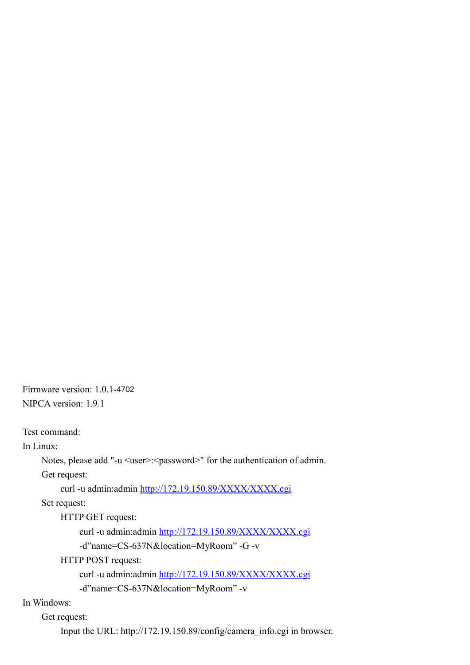Firmware version: 1.0.1-4702 NIPCA version: 1.9.1

Test command:

In Linux:

```
Notes, please add "-u <user>:<password>" for the authentication of admin.
```
Get request:

curl -u admin:admin<http://172.19.150.89/XXXX/XXXX.cgi>

Set request:

HTTP GET request:

curl -u admin:admin<http://172.19.150.89/XXXX/XXXX.cgi>

-d"name=CS-637N&location=MyRoom" -G -v

HTTP POST request:

curl -u admin:admin<http://172.19.150.89/XXXX/XXXX.cgi>

-d"name=CS-637N&location=MyRoom" -v

In Windows:

Get request:

Input the URL: http://172.19.150.89/config/camera\_info.cgi in browser.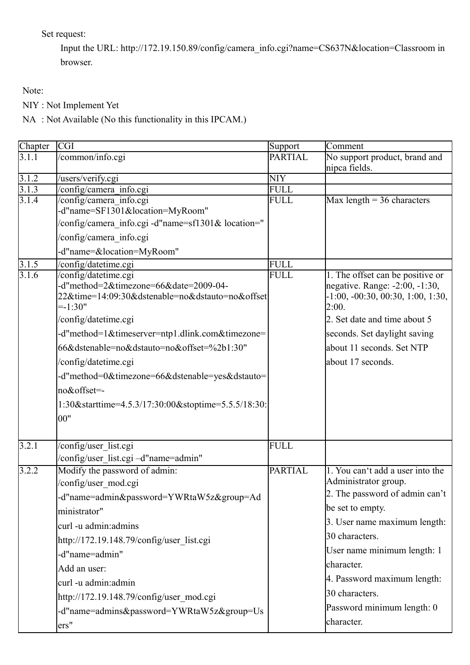Set request:

Input the URL: http://172.19.150.89/config/camera\_info.cgi?name=CS637N&location=Classroom in browser.

Note:

NIY : Not Implement Yet

NA : Not Available (No this functionality in this IPCAM.)

| Chapter            | <b>CGI</b>                                                                                                                                                                                                                                                                                                                                                                                                     | Support        | Comment                                                                                                                                                                                                                                                                                                    |
|--------------------|----------------------------------------------------------------------------------------------------------------------------------------------------------------------------------------------------------------------------------------------------------------------------------------------------------------------------------------------------------------------------------------------------------------|----------------|------------------------------------------------------------------------------------------------------------------------------------------------------------------------------------------------------------------------------------------------------------------------------------------------------------|
| 3.1.1              | /common/info.cgi                                                                                                                                                                                                                                                                                                                                                                                               | <b>PARTIAL</b> | No support product, brand and<br>nipca fields.                                                                                                                                                                                                                                                             |
| 3.1.2              | /users/verify.cgi                                                                                                                                                                                                                                                                                                                                                                                              | <b>NIY</b>     |                                                                                                                                                                                                                                                                                                            |
| 3.1.3              | /config/camera_info.cgi                                                                                                                                                                                                                                                                                                                                                                                        | <b>FULL</b>    |                                                                                                                                                                                                                                                                                                            |
| $\overline{3.1.4}$ | /config/camera_info.cgi<br>-d"name=SF1301&location=MyRoom"<br>/config/camera info.cgi -d"name=sf1301& location="                                                                                                                                                                                                                                                                                               | <b>FULL</b>    | Max length $=$ 36 characters                                                                                                                                                                                                                                                                               |
|                    | config/camera info.cgi                                                                                                                                                                                                                                                                                                                                                                                         |                |                                                                                                                                                                                                                                                                                                            |
|                    | -d"name=&location=MyRoom"                                                                                                                                                                                                                                                                                                                                                                                      |                |                                                                                                                                                                                                                                                                                                            |
| 3.1.5              | /config/datetime.cgi                                                                                                                                                                                                                                                                                                                                                                                           | <b>FULL</b>    |                                                                                                                                                                                                                                                                                                            |
| 3.1.6              | /config/datetime.cgi<br>-d"method=2&timezone=66&date=2009-04-<br>22&time=14:09:30&dstenable=no&dstauto=no&offset<br>$= -1:30"$<br>/config/datetime.cgi<br>-d"method=1&timeserver=ntp1.dlink.com&timezone=<br>66&dstenable=no&dstauto=no&offset=%2b1:30"<br>/config/datetime.cgi<br>-d"method=0&timezone=66&dstenable=yes&dstauto=<br>no&offset=-<br>1:30&starttime=4.5.3/17:30:00&stoptime=5.5.5/18:30:<br>00" | <b>FULL</b>    | 1. The offset can be positive or<br>negative. Range: -2:00, -1:30,<br>$-1:00, -00:30, 00:30, 1:00, 1:30,$<br>2:00.<br>2. Set date and time about 5<br>seconds. Set daylight saving<br>about 11 seconds. Set NTP<br>about 17 seconds.                                                                       |
| 3.2.1              | /config/user_list.cgi<br>/config/user_list.cgi -d"name=admin"                                                                                                                                                                                                                                                                                                                                                  | <b>FULL</b>    |                                                                                                                                                                                                                                                                                                            |
| 3.2.2              | Modify the password of admin:<br>/config/user mod.cgi<br>-d"name=admin&password=YWRtaW5z&group=Ad<br>ministrator"<br>curl -u admin:admins<br>http://172.19.148.79/config/user_list.cgi<br>-d"name=admin"<br>Add an user:<br>curl -u admin:admin<br>http://172.19.148.79/config/user_mod.cgi<br>-d"name=admins&password=YWRtaW5z&group=Us<br>ers"                                                               | <b>PARTIAL</b> | 1. You can't add a user into the<br>Administrator group.<br>2. The password of admin can't<br>be set to empty.<br>3. User name maximum length:<br>30 characters.<br>User name minimum length: 1<br>character.<br>4. Password maximum length:<br>30 characters.<br>Password minimum length: 0<br>character. |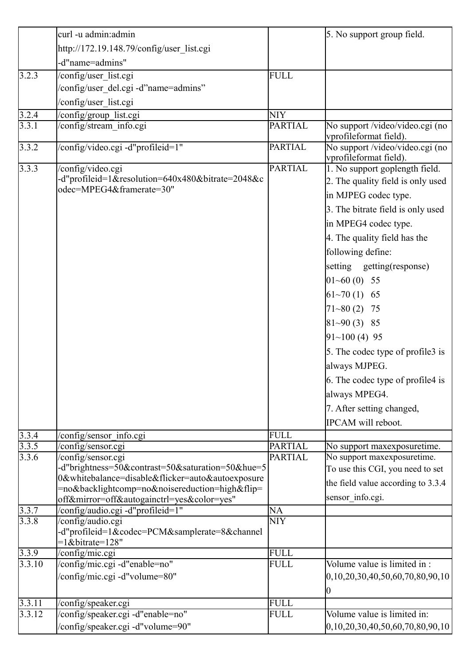|                    | curl -u admin:admin                                                                                                                              |                | 5. No support group field.                                                                                                                                                                                                                                                                                                                                                                                                                                                    |
|--------------------|--------------------------------------------------------------------------------------------------------------------------------------------------|----------------|-------------------------------------------------------------------------------------------------------------------------------------------------------------------------------------------------------------------------------------------------------------------------------------------------------------------------------------------------------------------------------------------------------------------------------------------------------------------------------|
|                    | http://172.19.148.79/config/user_list.cgi                                                                                                        |                |                                                                                                                                                                                                                                                                                                                                                                                                                                                                               |
|                    | -d"name=admins"                                                                                                                                  |                |                                                                                                                                                                                                                                                                                                                                                                                                                                                                               |
| $\sqrt{3.2.3}$     | /config/user_list.cgi                                                                                                                            | <b>FULL</b>    |                                                                                                                                                                                                                                                                                                                                                                                                                                                                               |
|                    | /config/user_del.cgi -d"name=admins"                                                                                                             |                |                                                                                                                                                                                                                                                                                                                                                                                                                                                                               |
|                    | /config/user_list.cgi                                                                                                                            |                |                                                                                                                                                                                                                                                                                                                                                                                                                                                                               |
| 3.2.4              | /config/group_list.cgi                                                                                                                           | <b>NIY</b>     |                                                                                                                                                                                                                                                                                                                                                                                                                                                                               |
| $3.\overline{3.1}$ | /config/stream info.cgi                                                                                                                          | <b>PARTIAL</b> | No support /video/video.cgi (no                                                                                                                                                                                                                                                                                                                                                                                                                                               |
|                    |                                                                                                                                                  |                | vprofileformat field).                                                                                                                                                                                                                                                                                                                                                                                                                                                        |
| 3.3.2              | /config/video.cgi -d"profileid=1"                                                                                                                | <b>PARTIAL</b> | No support /video/video.cgi (no<br>vprofileformat field).                                                                                                                                                                                                                                                                                                                                                                                                                     |
| 3.3.3              | /config/video.cgi<br>-d"profileid=1&resolution=640x480&bitrate=2048&c<br>odec=MPEG4&framerate=30"                                                | <b>PARTIAL</b> | 1. No support goplength field.<br>2. The quality field is only used<br>in MJPEG codec type.<br>3. The bitrate field is only used<br>in MPEG4 codec type.<br>4. The quality field has the<br>following define:<br>setting getting(response)<br>$01~60(0)$ 55<br>$61~1/70(1)$ 65<br>$71 - 80(2)$ 75<br>$81 - 90(3)$ 85<br>$91~100(4)$ 95<br>5. The codec type of profile3 is<br>always MJPEG.<br>6. The codec type of profile4 is<br>always MPEG4.<br>7. After setting changed, |
| 3.3.4              | /config/sensor_info.cgi                                                                                                                          | <b>FULL</b>    | IPCAM will reboot.                                                                                                                                                                                                                                                                                                                                                                                                                                                            |
| 3.3.5              | /config/sensor.cgi                                                                                                                               | <b>PARTIAL</b> | No support maxexposuretime.                                                                                                                                                                                                                                                                                                                                                                                                                                                   |
| 3.3.6              | /config/sensor.cgi<br>-d"brightness=50&contrast=50&saturation=50&hue=5                                                                           | <b>PARTIAL</b> | No support maxexposuretime.<br>To use this CGI, you need to set                                                                                                                                                                                                                                                                                                                                                                                                               |
|                    | 0&whitebalance=disable&flicker=auto&autoexposure<br>=no&backlightcomp=no&noisereduction=high&flip=<br>off&mirror=off&autogainctrl=yes&color=yes" |                | the field value according to 3.3.4<br>sensor_info.cgi.                                                                                                                                                                                                                                                                                                                                                                                                                        |
| 3.3.7              | /config/audio.cgi -d"profileid=1"                                                                                                                | NA             |                                                                                                                                                                                                                                                                                                                                                                                                                                                                               |
| 3.3.8              | /config/audio.cgi<br>-d"profileid=1&codec=PCM&samplerate=8&channel<br>$=1$ &bitrate=128"                                                         | <b>NIY</b>     |                                                                                                                                                                                                                                                                                                                                                                                                                                                                               |
| 3.3.9              | /config/mic.cgi                                                                                                                                  | <b>FULL</b>    |                                                                                                                                                                                                                                                                                                                                                                                                                                                                               |
| 3.3.10             | /config/mic.cgi -d"enable=no"<br>/config/mic.cgi -d"volume=80"                                                                                   | <b>FULL</b>    | Volume value is limited in:<br>$[0, 10, 20, 30, 40, 50, 60, 70, 80, 90, 10]$<br>10                                                                                                                                                                                                                                                                                                                                                                                            |
| 3.3.11             | /config/speaker.cgi                                                                                                                              | <b>FULL</b>    |                                                                                                                                                                                                                                                                                                                                                                                                                                                                               |
| 3.3.12             | /config/speaker.cgi -d"enable=no"                                                                                                                | <b>FULL</b>    | Volume value is limited in:                                                                                                                                                                                                                                                                                                                                                                                                                                                   |
|                    | /config/speaker.cgi -d"volume=90"                                                                                                                |                | $\left[0, 10, 20, 30, 40, 50, 60, 70, 80, 90, 10\right]$                                                                                                                                                                                                                                                                                                                                                                                                                      |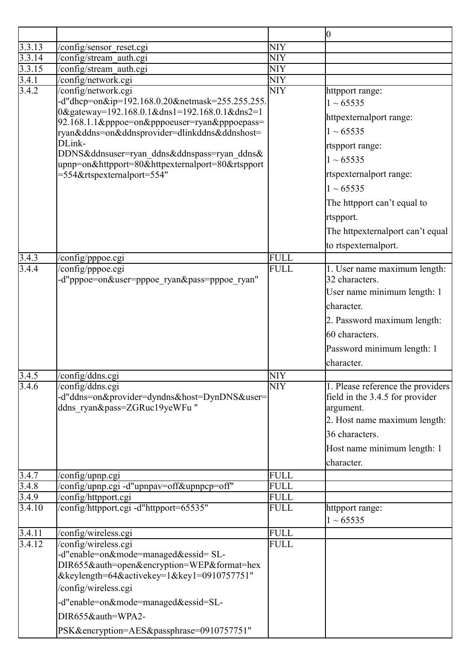|                 |                                                                                                |                            | 10                                           |
|-----------------|------------------------------------------------------------------------------------------------|----------------------------|----------------------------------------------|
| 3.3.13          | /config/sensor reset.cgi                                                                       | <b>NIY</b>                 |                                              |
| 3.3.14          | /config/stream auth.cgi                                                                        | <b>NIY</b>                 |                                              |
| 3.3.15          | /config/stream auth.cgi                                                                        | <b>NIY</b>                 |                                              |
| 3.4.1           | /config/network.cgi                                                                            | <b>NIY</b>                 |                                              |
| 3.4.2           | /config/network.cgi                                                                            | <b>NIY</b>                 | httpport range:                              |
|                 | -d"dhcp=on&ip=192.168.0.20&netmask=255.255.255.                                                |                            | $1 \sim 65535$                               |
|                 | 0&gateway=192.168.0.1&dns1=192.168.0.1&dns2=1                                                  |                            | httpexternalport range:                      |
|                 | 92.168.1.1&pppoe=on&pppoeuser=ryan&pppoepass=<br>ryan&ddns=on&ddnsprovider=dlinkddns&ddnshost= |                            | $1 \sim 65535$                               |
|                 | DLink-                                                                                         |                            | rtspport range:                              |
|                 | DDNS&ddnsuser=ryan ddns&ddnspass=ryan ddns&                                                    |                            | $1 \sim 65535$                               |
|                 | upnp=on&httpport=80&httpexternalport=80&rtspport                                               |                            |                                              |
|                 | =554&rtspexternalport=554"                                                                     |                            | rtspexternalport range:                      |
|                 |                                                                                                |                            | $1 \sim 65535$                               |
|                 |                                                                                                |                            | The httpport can't equal to                  |
|                 |                                                                                                |                            | rtspport.                                    |
|                 |                                                                                                |                            | The httpexternalport can't equal             |
|                 |                                                                                                |                            | to rtspexternalport.                         |
| 3.4.3           | /config/pppoe.cgi                                                                              | <b>FULL</b>                |                                              |
| 3.4.4           | config/pppoe.cgi                                                                               | <b>FULL</b>                | 1. User name maximum length:                 |
|                 | -d"pppoe=on&user=pppoe_ryan&pass=pppoe_ryan"                                                   |                            | 32 characters.                               |
|                 |                                                                                                |                            | User name minimum length: 1                  |
|                 |                                                                                                |                            | character.                                   |
|                 |                                                                                                |                            | 2. Password maximum length:                  |
|                 |                                                                                                |                            | 60 characters.                               |
|                 |                                                                                                |                            |                                              |
|                 |                                                                                                |                            | Password minimum length: 1                   |
|                 |                                                                                                |                            | character.                                   |
| 3.4.5           | /config/ddns.cgi                                                                               | <b>NIY</b>                 |                                              |
| 3.4.6           | /config/ddns.cgi                                                                               | <b>NIY</b>                 | 1. Please reference the providers            |
|                 | -d"ddns=on&provider=dyndns&host=DynDNS&user=<br>ddns ryan&pass=ZGRuc19yeWFu "                  |                            | field in the 3.4.5 for provider<br>argument. |
|                 |                                                                                                |                            | 2. Host name maximum length:                 |
|                 |                                                                                                |                            | 36 characters.                               |
|                 |                                                                                                |                            |                                              |
|                 |                                                                                                |                            | Host name minimum length: 1                  |
|                 |                                                                                                |                            | character.                                   |
| 3.4.7           | /config/upnp.cgi                                                                               | <b>FULL</b>                |                                              |
| 3.4.8           | 'config/upnp.cgi -d"upnpav=off&upnpcp=off"                                                     | <b>FULL</b>                |                                              |
| 3.4.9<br>3.4.10 | /config/httpport.cgi<br>/config/httpport.cgi -d"httpport=65535"                                | <b>FULL</b><br><b>FULL</b> |                                              |
|                 |                                                                                                |                            | httpport range:<br>$1 \sim 65535$            |
| 3.4.11          |                                                                                                | <b>FULL</b>                |                                              |
| 3.4.12          | /config/wireless.cgi<br>/config/wireless.cgi                                                   | <b>FULL</b>                |                                              |
|                 | -d"enable=on&mode=managed&essid= SL-                                                           |                            |                                              |
|                 | DIR655&auth=open&encryption=WEP&format=hex                                                     |                            |                                              |
|                 | &keylength=64&activekey=1&key1=0910757751"                                                     |                            |                                              |
|                 | /config/wireless.cgi                                                                           |                            |                                              |
|                 | -d"enable=on&mode=managed&essid=SL-                                                            |                            |                                              |
|                 | DIR655&auth=WPA2-                                                                              |                            |                                              |
|                 | PSK&encryption=AES&passphrase=0910757751"                                                      |                            |                                              |
|                 |                                                                                                |                            |                                              |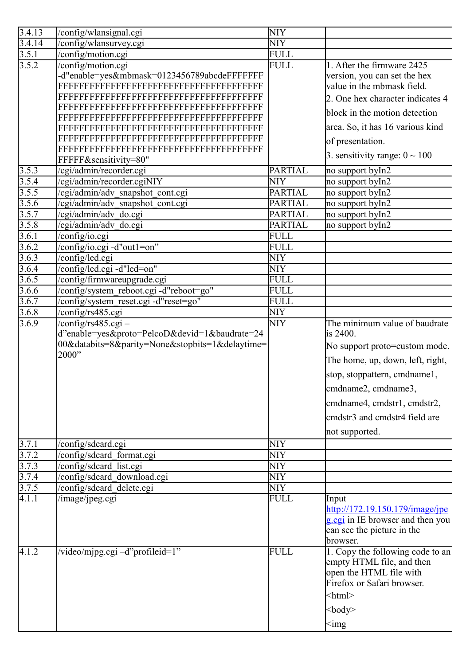| 3.4.13 | /config/wlansignal.cgi                          | <b>NIY</b>     |                                                                |
|--------|-------------------------------------------------|----------------|----------------------------------------------------------------|
| 3.4.14 | /config/wlansurvey.cgi                          | <b>NIY</b>     |                                                                |
| 3.5.1  | /config/motion.cgi                              | <b>FULL</b>    |                                                                |
| 3.5.2  | /config/motion.cgi                              | <b>FULL</b>    | 1. After the firmware 2425                                     |
|        | -d"enable=yes&mbmask=0123456789abcdeFFFFFFF     |                | version, you can set the hex                                   |
|        |                                                 |                | value in the mbmask field.                                     |
|        |                                                 |                | 2. One hex character indicates 4                               |
|        |                                                 |                | block in the motion detection                                  |
|        |                                                 |                | area. So, it has 16 various kind                               |
|        |                                                 |                | of presentation.                                               |
|        | FFFFF&sensitivity=80"                           |                | 3. sensitivity range: $0 \sim 100$                             |
| 3.5.3  | /cgi/admin/recorder.cgi                         | <b>PARTIAL</b> | no support byIn2                                               |
| 3.5.4  | /cgi/admin/recorder.cgiNIY                      | <b>NIY</b>     | no support by $\overline{ln2}$                                 |
| 3.5.5  | /cgi/admin/adv snapshot cont.cgi                | <b>PARTIAL</b> | no support byIn2                                               |
| 3.5.6  | /cgi/admin/adv_snapshot_cont.cgi                | <b>PARTIAL</b> | no support byIn2                                               |
| 3.5.7  |                                                 | <b>PARTIAL</b> | no support byIn2                                               |
|        | /cgi/admin/adv_do.cgi                           | <b>PARTIAL</b> |                                                                |
| 3.5.8  | /cgi/admin/adv do.cgi                           |                | no support byIn2                                               |
| 3.6.1  | /config/io.cgi                                  | <b>FULL</b>    |                                                                |
| 3.6.2  | /config/io.cgi -d"out1=on"                      | <b>FULL</b>    |                                                                |
| 3.6.3  | config/led.cgi                                  | <b>NIY</b>     |                                                                |
| 3.6.4  | /config/led.cgi -d"led=on"                      | <b>NIY</b>     |                                                                |
| 3.6.5  | /config/firmwareupgrade.cgi                     | <b>FULL</b>    |                                                                |
| 3.6.6  | /config/system_reboot.cgi -d"reboot=go"         | <b>FULL</b>    |                                                                |
| 3.6.7  | /config/system reset.cgi -d"reset=go"           | <b>FULL</b>    |                                                                |
| 3.6.8  | config/rs485.cgi                                | <b>NIY</b>     |                                                                |
| 3.6.9  | $/$ config/rs485.cgi –                          | NIY            | The minimum value of baudrate                                  |
|        | d"enable=yes&proto=PelcoD&devid=1&baudrate=24   |                | is 2400.                                                       |
|        | 00&databits=8&parity=None&stopbits=1&delaytime= |                | No support proto=custom mode.                                  |
|        | 2000"                                           |                | The home, up, down, left, right,                               |
|        |                                                 |                | stop, stoppattern, cmdname1,                                   |
|        |                                                 |                | emdname2, emdname3,                                            |
|        |                                                 |                |                                                                |
|        |                                                 |                | emdname4, emdstr1, emdstr2,                                    |
|        |                                                 |                | emdstr <sub>3</sub> and emdstr <sub>4</sub> field are          |
|        |                                                 |                | not supported.                                                 |
| 3.7.1  | /config/sdcard.cgi                              | <b>NIY</b>     |                                                                |
| 3.7.2  | /config/sdcard format.cgi                       | <b>NIY</b>     |                                                                |
| 3.7.3  | config/sdcard list.cgi                          | <b>NIY</b>     |                                                                |
| 3.7.4  | config/sdcard_download.cgi                      | <b>NIY</b>     |                                                                |
| 3.7.5  | /config/sdcard_delete.cgi                       | <b>NIY</b>     |                                                                |
| 4.1.1  | /image/jpeg.cgi                                 | <b>FULL</b>    | Input                                                          |
|        |                                                 |                | $\frac{\text{http://172.19.150.179}/\text{image}}{\text{pre}}$ |
|        |                                                 |                | g.cgi in IE browser and then you                               |
|        |                                                 |                | can see the picture in the                                     |
|        |                                                 |                | browser.                                                       |
| 4.1.2  | /video/mjpg.cgi -d"profileid=1"                 | <b>FULL</b>    | 1. Copy the following code to an                               |
|        |                                                 |                | empty HTML file, and then                                      |
|        |                                                 |                | open the HTML file with                                        |
|        |                                                 |                | Firefox or Safari browser.                                     |
|        |                                                 |                | $\text{thm}$                                                   |
|        |                                                 |                |                                                                |
|        |                                                 |                | $<$ body>                                                      |
|        |                                                 |                | $\leq$ img                                                     |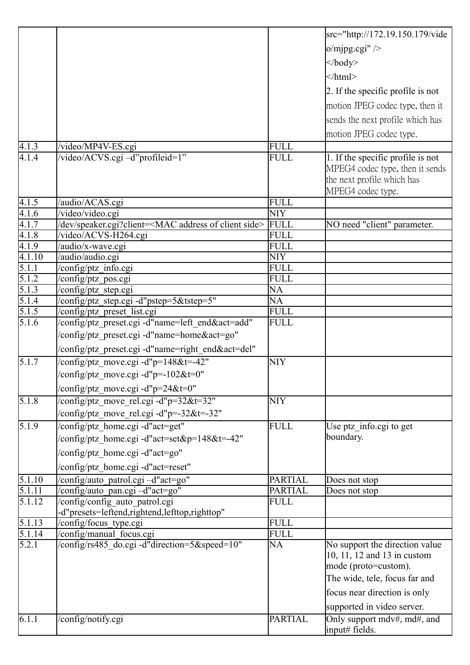|                       |                                                                                               |                | src="http://172.19.150.179/vide                 |
|-----------------------|-----------------------------------------------------------------------------------------------|----------------|-------------------------------------------------|
|                       |                                                                                               |                | $o/mjpg.cgi''$ />                               |
|                       |                                                                                               |                |                                                 |
|                       |                                                                                               |                | $\langle \text{body} \rangle$                   |
|                       |                                                                                               |                | $<$ /html>                                      |
|                       |                                                                                               |                | 2. If the specific profile is not               |
|                       |                                                                                               |                | motion JPEG codec type, then it                 |
|                       |                                                                                               |                | sends the next profile which has                |
|                       |                                                                                               |                |                                                 |
|                       |                                                                                               |                | motion JPEG codec type.                         |
| 4.1.3                 | /video/MP4V-ES.cgi                                                                            | FULL           |                                                 |
| 4.1.4                 | /video/ACVS.cgi -d"profileid=1"                                                               | <b>FULL</b>    | 1. If the specific profile is not               |
|                       |                                                                                               |                | MPEG4 codec type, then it sends                 |
|                       |                                                                                               |                | the next profile which has<br>MPEG4 codec type. |
| $4.\overline{1.5}$    | /audio/ACAS.cgi                                                                               | <b>FULL</b>    |                                                 |
| 4.1.6                 | /video/video.cgi                                                                              | <b>NIY</b>     |                                                 |
| 4.1.7                 | /dev/speaker.cgi?client= <mac address="" client="" of="" side=""></mac>                       | FULL           | NO need "client" parameter.                     |
| 4.1.8                 | video/ACVS-H264.cgi                                                                           | <b>FULL</b>    |                                                 |
| 4.1.9                 | /audio/x-wave.cgi                                                                             | <b>FULL</b>    |                                                 |
| 4.1.10                | /audio/audio.cgi                                                                              | <b>NIY</b>     |                                                 |
|                       | /config/ptz_info.cgi                                                                          | FULL           |                                                 |
| $\frac{5.1.1}{5.1.2}$ | /config/ptz_pos.cgi                                                                           | <b>FULL</b>    |                                                 |
| 5.1.3                 | config/ptz_step.cgi                                                                           | <b>NA</b>      |                                                 |
| 5.1.4                 | /config/ptz_step.cgi -d"pstep=5&tstep=5"                                                      | <b>NA</b>      |                                                 |
| 5.1.5                 | /config/ptz_preset_list.cgi                                                                   | <b>FULL</b>    |                                                 |
| 5.1.6                 | /config/ptz preset.cgi-d"name=left end&act=add"                                               | <b>FULL</b>    |                                                 |
|                       | /config/ptz preset.cgi -d"name=home&act=go"                                                   |                |                                                 |
|                       | /config/ptz preset.cgi -d"name=right end&act=del"                                             |                |                                                 |
| $\sqrt{5.1.7}$        | $\sqrt{\text{config/ptz}}$ move.cgi -d"p=148&t=-42"                                           | <b>NIY</b>     |                                                 |
|                       | $\sqrt{\text{config/ptz}}$ move.cgi -d"p=-102&t=0"                                            |                |                                                 |
|                       | $\sqrt{\text{config/ptz}}$ move.cgi -d"p=24&t=0"                                              |                |                                                 |
| $\overline{5.1.8}$    | $\sqrt{\text{config/ptz} \cdot \text{move} \cdot \text{rel.cgi} - d\text{up}} = 32 \& t = 32$ | <b>NIY</b>     |                                                 |
|                       | /config/ptz_move_rel.cgi -d"p=-32&t=-32"                                                      |                |                                                 |
| 5.1.9                 | /config/ptz home.cgi -d"act=get"                                                              | <b>FULL</b>    |                                                 |
|                       |                                                                                               |                | Use ptz_info.cgi to get<br>boundary.            |
|                       | /config/ptz home.cgi -d"act=set&p=148&t=-42"                                                  |                |                                                 |
|                       | 'config/ptz home.cgi -d"act=go"                                                               |                |                                                 |
|                       | /config/ptz_home.cgi -d"act=reset"                                                            |                |                                                 |
| 5.1.10                | /config/auto patrol.cgi -d"act=go"                                                            | <b>PARTIAL</b> | Does not stop                                   |
| 5.1.11                | /config/auto_pan.cgi -d"act=go"                                                               | <b>PARTIAL</b> | Does not stop                                   |
| $\sqrt{5.1.12}$       | config/config auto patrol.cgi                                                                 | <b>FULL</b>    |                                                 |
| 5.1.13                | -d"presets=leftend,rightend,lefttop,righttop"                                                 | <b>FULL</b>    |                                                 |
| 5.1.14                | /config/focus_type.cgi<br>/config/manual_focus.cgi                                            | <b>FULL</b>    |                                                 |
| 5.2.1                 | /config/rs485_do.cgi -d"direction=5&speed=10"                                                 | <b>NA</b>      | No support the direction value                  |
|                       |                                                                                               |                | 10, 11, 12 and 13 in custom                     |
|                       |                                                                                               |                | mode (proto=custom).                            |
|                       |                                                                                               |                | The wide, tele, focus far and                   |
|                       |                                                                                               |                | focus near direction is only                    |
|                       |                                                                                               |                |                                                 |
|                       |                                                                                               |                | supported in video server.                      |
| 6.1.1                 | /config/notify.cgi                                                                            | <b>PARTIAL</b> | Only support mdv#, md#, and<br>input# fields.   |